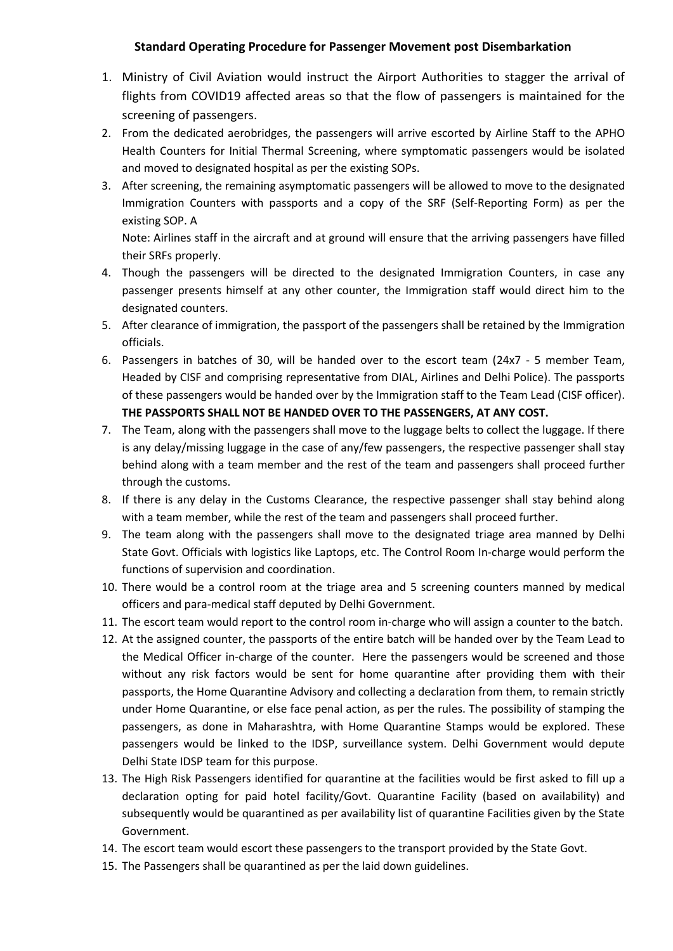## **Standard Operating Procedure for Passenger Movement post Disembarkation**

- 1. Ministry of Civil Aviation would instruct the Airport Authorities to stagger the arrival of flights from COVID19 affected areas so that the flow of passengers is maintained for the screening of passengers.
- 2. From the dedicated aerobridges, the passengers will arrive escorted by Airline Staff to the APHO Health Counters for Initial Thermal Screening, where symptomatic passengers would be isolated and moved to designated hospital as per the existing SOPs.
- 3. After screening, the remaining asymptomatic passengers will be allowed to move to the designated Immigration Counters with passports and a copy of the SRF (Self-Reporting Form) as per the existing SOP. A

Note: Airlines staff in the aircraft and at ground will ensure that the arriving passengers have filled their SRFs properly.

- 4. Though the passengers will be directed to the designated Immigration Counters, in case any passenger presents himself at any other counter, the Immigration staff would direct him to the designated counters.
- 5. After clearance of immigration, the passport of the passengers shall be retained by the Immigration officials.
- 6. Passengers in batches of 30, will be handed over to the escort team (24x7 5 member Team, Headed by CISF and comprising representative from DIAL, Airlines and Delhi Police). The passports of these passengers would be handed over by the Immigration staff to the Team Lead (CISF officer). **THE PASSPORTS SHALL NOT BE HANDED OVER TO THE PASSENGERS, AT ANY COST.**
- 7. The Team, along with the passengers shall move to the luggage belts to collect the luggage. If there is any delay/missing luggage in the case of any/few passengers, the respective passenger shall stay behind along with a team member and the rest of the team and passengers shall proceed further through the customs.
- 8. If there is any delay in the Customs Clearance, the respective passenger shall stay behind along with a team member, while the rest of the team and passengers shall proceed further.
- 9. The team along with the passengers shall move to the designated triage area manned by Delhi State Govt. Officials with logistics like Laptops, etc. The Control Room In-charge would perform the functions of supervision and coordination.
- 10. There would be a control room at the triage area and 5 screening counters manned by medical officers and para-medical staff deputed by Delhi Government.
- 11. The escort team would report to the control room in-charge who will assign a counter to the batch.
- 12. At the assigned counter, the passports of the entire batch will be handed over by the Team Lead to the Medical Officer in-charge of the counter. Here the passengers would be screened and those without any risk factors would be sent for home quarantine after providing them with their passports, the Home Quarantine Advisory and collecting a declaration from them, to remain strictly under Home Quarantine, or else face penal action, as per the rules. The possibility of stamping the passengers, as done in Maharashtra, with Home Quarantine Stamps would be explored. These passengers would be linked to the IDSP, surveillance system. Delhi Government would depute Delhi State IDSP team for this purpose.
- 13. The High Risk Passengers identified for quarantine at the facilities would be first asked to fill up a declaration opting for paid hotel facility/Govt. Quarantine Facility (based on availability) and subsequently would be quarantined as per availability list of quarantine Facilities given by the State Government.
- 14. The escort team would escort these passengers to the transport provided by the State Govt.
- 15. The Passengers shall be quarantined as per the laid down guidelines.